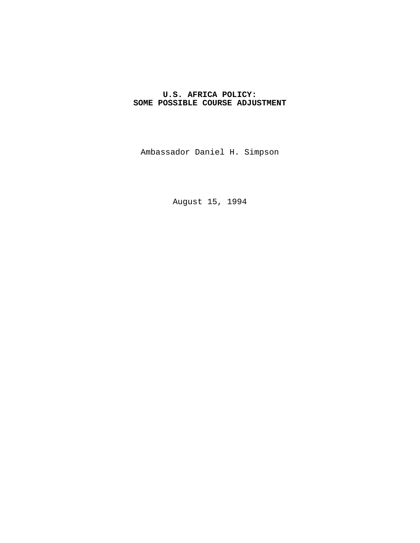# **U.S. AFRICA POLICY: SOME POSSIBLE COURSE ADJUSTMENT**

Ambassador Daniel H. Simpson

August 15, 1994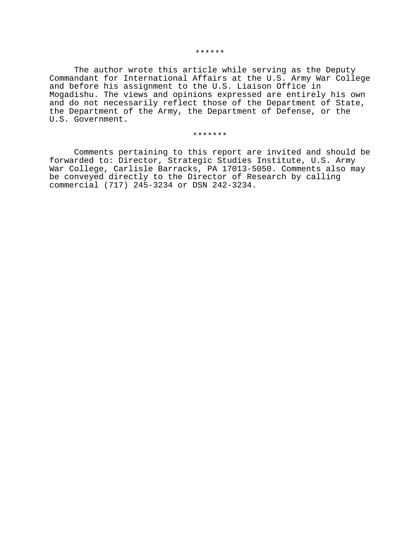#### \*\*\*\*\*\*

The author wrote this article while serving as the Deputy Commandant for International Affairs at the U.S. Army War College and before his assignment to the U.S. Liaison Office in Mogadishu. The views and opinions expressed are entirely his own and do not necessarily reflect those of the Department of State, the Department of the Army, the Department of Defense, or the U.S. Government.

#### \*\*\*\*\*\*\*

Comments pertaining to this report are invited and should be forwarded to: Director, Strategic Studies Institute, U.S. Army War College, Carlisle Barracks, PA 17013-5050. Comments also may be conveyed directly to the Director of Research by calling commercial (717) 245-3234 or DSN 242-3234.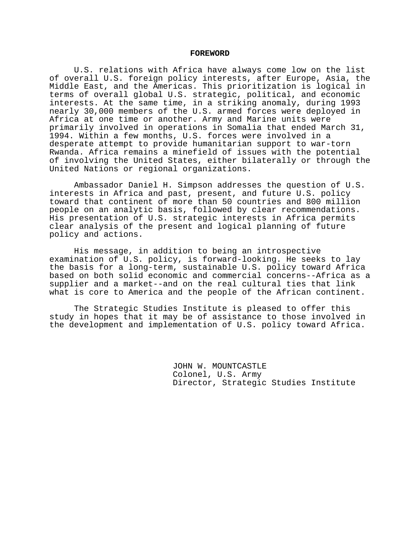#### **FOREWORD**

U.S. relations with Africa have always come low on the list of overall U.S. foreign policy interests, after Europe, Asia, the Middle East, and the Americas. This prioritization is logical in terms of overall global U.S. strategic, political, and economic interests. At the same time, in a striking anomaly, during 1993 nearly 30,000 members of the U.S. armed forces were deployed in Africa at one time or another. Army and Marine units were primarily involved in operations in Somalia that ended March 31, 1994. Within a few months, U.S. forces were involved in a desperate attempt to provide humanitarian support to war-torn Rwanda. Africa remains a minefield of issues with the potential of involving the United States, either bilaterally or through the United Nations or regional organizations.

Ambassador Daniel H. Simpson addresses the question of U.S. interests in Africa and past, present, and future U.S. policy toward that continent of more than 50 countries and 800 million people on an analytic basis, followed by clear recommendations. His presentation of U.S. strategic interests in Africa permits clear analysis of the present and logical planning of future policy and actions.

His message, in addition to being an introspective examination of U.S. policy, is forward-looking. He seeks to lay the basis for a long-term, sustainable U.S. policy toward Africa based on both solid economic and commercial concerns--Africa as a supplier and a market--and on the real cultural ties that link what is core to America and the people of the African continent.

The Strategic Studies Institute is pleased to offer this study in hopes that it may be of assistance to those involved in the development and implementation of U.S. policy toward Africa.

> JOHN W. MOUNTCASTLE Colonel, U.S. Army Director, Strategic Studies Institute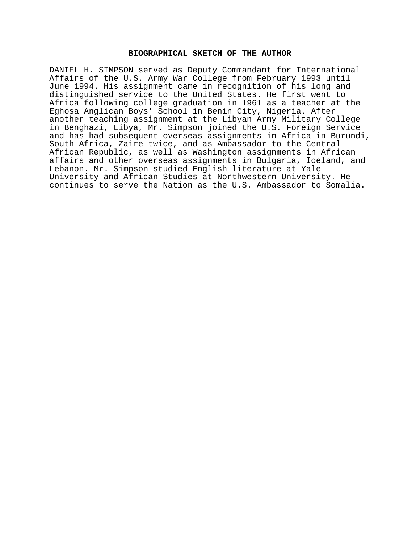### **BIOGRAPHICAL SKETCH OF THE AUTHOR**

DANIEL H. SIMPSON served as Deputy Commandant for International Affairs of the U.S. Army War College from February 1993 until June 1994. His assignment came in recognition of his long and distinguished service to the United States. He first went to Africa following college graduation in 1961 as a teacher at the Eghosa Anglican Boys' School in Benin City, Nigeria. After another teaching assignment at the Libyan Army Military College in Benghazi, Libya, Mr. Simpson joined the U.S. Foreign Service and has had subsequent overseas assignments in Africa in Burundi, South Africa, Zaire twice, and as Ambassador to the Central African Republic, as well as Washington assignments in African affairs and other overseas assignments in Bulgaria, Iceland, and Lebanon. Mr. Simpson studied English literature at Yale University and African Studies at Northwestern University. He continues to serve the Nation as the U.S. Ambassador to Somalia.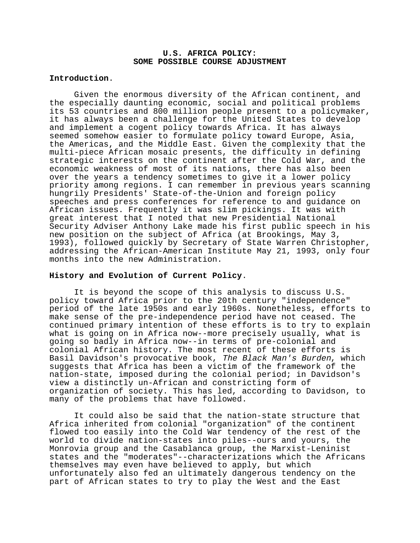### **U.S. AFRICA POLICY: SOME POSSIBLE COURSE ADJUSTMENT**

### **Introduction**.

Given the enormous diversity of the African continent, and the especially daunting economic, social and political problems its 53 countries and 800 million people present to a policymaker, it has always been a challenge for the United States to develop and implement a cogent policy towards Africa. It has always seemed somehow easier to formulate policy toward Europe, Asia, the Americas, and the Middle East. Given the complexity that the multi-piece African mosaic presents, the difficulty in defining strategic interests on the continent after the Cold War, and the economic weakness of most of its nations, there has also been over the years a tendency sometimes to give it a lower policy priority among regions. I can remember in previous years scanning hungrily Presidents' State-of-the-Union and foreign policy speeches and press conferences for reference to and guidance on African issues. Frequently it was slim pickings. It was with great interest that I noted that new Presidential National Security Adviser Anthony Lake made his first public speech in his new position on the subject of Africa (at Brookings, May 3, 1993), followed quickly by Secretary of State Warren Christopher, addressing the African-American Institute May 21, 1993, only four months into the new Administration.

## **History and Evolution of Current Policy**.

It is beyond the scope of this analysis to discuss U.S. policy toward Africa prior to the 20th century "independence" period of the late 1950s and early 1960s. Nonetheless, efforts to make sense of the pre-independence period have not ceased. The continued primary intention of these efforts is to try to explain what is going on in Africa now--more precisely usually, what is going so badly in Africa now--in terms of pre-colonial and colonial African history. The most recent of these efforts is Basil Davidson's provocative book, The Black Man's Burden, which suggests that Africa has been a victim of the framework of the nation-state, imposed during the colonial period; in Davidson's view a distinctly un-African and constricting form of organization of society. This has led, according to Davidson, to many of the problems that have followed.

It could also be said that the nation-state structure that Africa inherited from colonial "organization" of the continent flowed too easily into the Cold War tendency of the rest of the world to divide nation-states into piles--ours and yours, the Monrovia group and the Casablanca group, the Marxist-Leninist states and the "moderates"--characterizations which the Africans themselves may even have believed to apply, but which unfortunately also fed an ultimately dangerous tendency on the part of African states to try to play the West and the East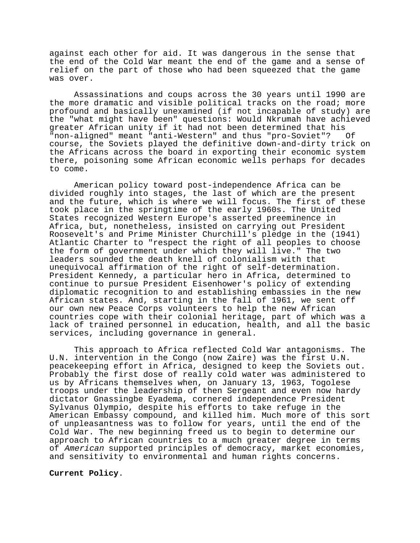against each other for aid. It was dangerous in the sense that the end of the Cold War meant the end of the game and a sense of relief on the part of those who had been squeezed that the game was over.

Assassinations and coups across the 30 years until 1990 are the more dramatic and visible political tracks on the road; more profound and basically unexamined (if not incapable of study) are the "what might have been" questions: Would Nkrumah have achieved greater African unity if it had not been determined that his "non-aligned" meant "anti-Western" and thus "pro-Soviet"? Of course, the Soviets played the definitive down-and-dirty trick on the Africans across the board in exporting their economic system there, poisoning some African economic wells perhaps for decades to come.

American policy toward post-independence Africa can be divided roughly into stages, the last of which are the present and the future, which is where we will focus. The first of these took place in the springtime of the early 1960s. The United States recognized Western Europe's asserted preeminence in Africa, but, nonetheless, insisted on carrying out President Roosevelt's and Prime Minister Churchill's pledge in the (1941) Atlantic Charter to "respect the right of all peoples to choose the form of government under which they will live." The two leaders sounded the death knell of colonialism with that unequivocal affirmation of the right of self-determination. President Kennedy, a particular hero in Africa, determined to continue to pursue President Eisenhower's policy of extending diplomatic recognition to and establishing embassies in the new African states. And, starting in the fall of 1961, we sent off our own new Peace Corps volunteers to help the new African countries cope with their colonial heritage, part of which was a lack of trained personnel in education, health, and all the basic services, including governance in general.

This approach to Africa reflected Cold War antagonisms. The U.N. intervention in the Congo (now Zaire) was the first U.N. peacekeeping effort in Africa, designed to keep the Soviets out. Probably the first dose of really cold water was administered to us by Africans themselves when, on January 13, 1963, Togolese troops under the leadership of then Sergeant and even now hardy dictator Gnassingbe Eyadema, cornered independence President Sylvanus Olympio, despite his efforts to take refuge in the American Embassy compound, and killed him. Much more of this sort of unpleasantness was to follow for years, until the end of the Cold War. The new beginning freed us to begin to determine our approach to African countries to a much greater degree in terms of American supported principles of democracy, market economies, and sensitivity to environmental and human rights concerns.

**Current Policy**.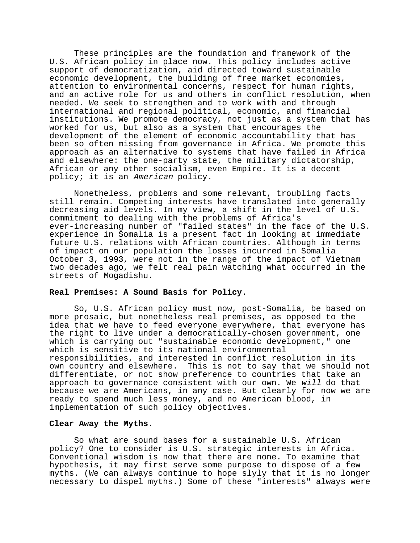These principles are the foundation and framework of the U.S. African policy in place now. This policy includes active support of democratization, aid directed toward sustainable economic development, the building of free market economies, attention to environmental concerns, respect for human rights, and an active role for us and others in conflict resolution, when needed. We seek to strengthen and to work with and through international and regional political, economic, and financial institutions. We promote democracy, not just as a system that has worked for us, but also as a system that encourages the development of the element of economic accountability that has been so often missing from governance in Africa. We promote this approach as an alternative to systems that have failed in Africa and elsewhere: the one-party state, the military dictatorship, African or any other socialism, even Empire. It is a decent policy; it is an American policy.

Nonetheless, problems and some relevant, troubling facts still remain. Competing interests have translated into generally decreasing aid levels. In my view, a shift in the level of U.S. commitment to dealing with the problems of Africa's ever-increasing number of "failed states" in the face of the U.S. experience in Somalia is a present fact in looking at immediate future U.S. relations with African countries. Although in terms of impact on our population the losses incurred in Somalia October 3, 1993, were not in the range of the impact of Vietnam two decades ago, we felt real pain watching what occurred in the streets of Mogadishu.

### **Real Premises: A Sound Basis for Policy**.

So, U.S. African policy must now, post-Somalia, be based on more prosaic, but nonetheless real premises, as opposed to the idea that we have to feed everyone everywhere, that everyone has the right to live under a democratically-chosen government, one which is carrying out "sustainable economic development," one which is sensitive to its national environmental responsibilities, and interested in conflict resolution in its own country and elsewhere. This is not to say that we should not differentiate, or not show preference to countries that take an approach to governance consistent with our own. We will do that because we are Americans, in any case. But clearly for now we are ready to spend much less money, and no American blood, in implementation of such policy objectives.

#### **Clear Away the Myths**.

So what are sound bases for a sustainable U.S. African policy? One to consider is U.S. strategic interests in Africa. Conventional wisdom is now that there are none. To examine that hypothesis, it may first serve some purpose to dispose of a few myths. (We can always continue to hope slyly that it is no longer necessary to dispel myths.) Some of these "interests" always were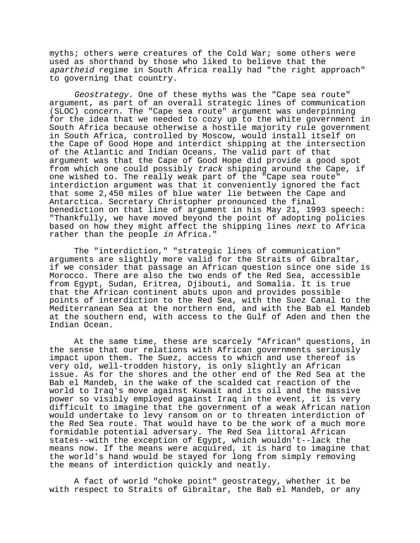myths; others were creatures of the Cold War; some others were used as shorthand by those who liked to believe that the apartheid regime in South Africa really had "the right approach" to governing that country.

Geostrategy. One of these myths was the "Cape sea route" argument, as part of an overall strategic lines of communication (SLOC) concern. The "Cape sea route" argument was underpinning for the idea that we needed to cozy up to the white government in South Africa because otherwise a hostile majority rule government in South Africa, controlled by Moscow, would install itself on the Cape of Good Hope and interdict shipping at the intersection of the Atlantic and Indian Oceans. The valid part of that argument was that the Cape of Good Hope did provide a good spot from which one could possibly track shipping around the Cape, if one wished to. The really weak part of the "Cape sea route" interdiction argument was that it conveniently ignored the fact that some 2,450 miles of blue water lie between the Cape and Antarctica. Secretary Christopher pronounced the final benediction on that line of argument in his May 21, 1993 speech: "Thankfully, we have moved beyond the point of adopting policies based on how they might affect the shipping lines next to Africa rather than the people in Africa."

The "interdiction," "strategic lines of communication" arguments are slightly more valid for the Straits of Gibraltar, if we consider that passage an African question since one side is Morocco. There are also the two ends of the Red Sea, accessible from Egypt, Sudan, Eritrea, Djibouti, and Somalia. It is true that the African continent abuts upon and provides possible points of interdiction to the Red Sea, with the Suez Canal to the Mediterranean Sea at the northern end, and with the Bab el Mandeb at the southern end, with access to the Gulf of Aden and then the Indian Ocean.

At the same time, these are scarcely "African" questions, in the sense that our relations with African governments seriously impact upon them. The Suez, access to which and use thereof is very old, well-trodden history, is only slightly an African issue. As for the shores and the other end of the Red Sea at the Bab el Mandeb, in the wake of the scalded cat reaction of the world to Iraq's move against Kuwait and its oil and the massive power so visibly employed against Iraq in the event, it is very difficult to imagine that the government of a weak African nation would undertake to levy ransom on or to threaten interdiction of the Red Sea route. That would have to be the work of a much more formidable potential adversary. The Red Sea littoral African states--with the exception of Egypt, which wouldn't--lack the means now. If the means were acquired, it is hard to imagine that the world's hand would be stayed for long from simply removing the means of interdiction quickly and neatly.

A fact of world "choke point" geostrategy, whether it be with respect to Straits of Gibraltar, the Bab el Mandeb, or any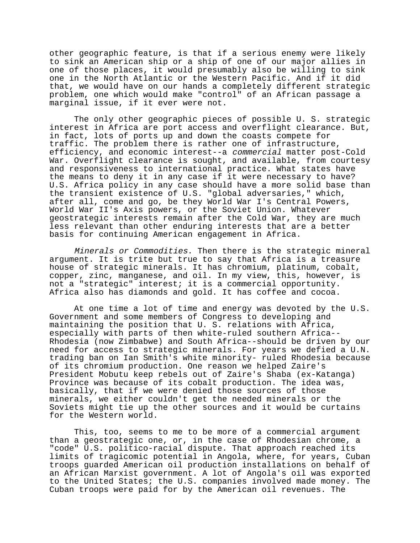other geographic feature, is that if a serious enemy were likely to sink an American ship or a ship of one of our major allies in one of those places, it would presumably also be willing to sink one in the North Atlantic or the Western Pacific. And if it did that, we would have on our hands a completely different strategic problem, one which would make "control" of an African passage a marginal issue, if it ever were not.

The only other geographic pieces of possible U. S. strategic interest in Africa are port access and overflight clearance. But, in fact, lots of ports up and down the coasts compete for traffic. The problem there is rather one of infrastructure, efficiency, and economic interest--a commercial matter post-Cold War. Overflight clearance is sought, and available, from courtesy and responsiveness to international practice. What states have the means to deny it in any case if it were necessary to have? U.S. Africa policy in any case should have a more solid base than the transient existence of U.S. "global adversaries," which, after all, come and go, be they World War I's Central Powers, World War II's Axis powers, or the Soviet Union. Whatever geostrategic interests remain after the Cold War, they are much less relevant than other enduring interests that are a better basis for continuing American engagement in Africa.

Minerals or Commodities. Then there is the strategic mineral argument. It is trite but true to say that Africa is a treasure house of strategic minerals. It has chromium, platinum, cobalt, copper, zinc, manganese, and oil. In my view, this, however, is not a "strategic" interest; it is a commercial opportunity. Africa also has diamonds and gold. It has coffee and cocoa.

At one time a lot of time and energy was devoted by the U.S. Government and some members of Congress to developing and maintaining the position that U. S. relations with Africa, especially with parts of then white-ruled southern Africa-- Rhodesia (now Zimbabwe) and South Africa--should be driven by our need for access to strategic minerals. For years we defied a U.N. trading ban on Ian Smith's white minority- ruled Rhodesia because of its chromium production. One reason we helped Zaire's President Mobutu keep rebels out of Zaire's Shaba (ex-Katanga) Province was because of its cobalt production. The idea was, basically, that if we were denied those sources of those minerals, we either couldn't get the needed minerals or the Soviets might tie up the other sources and it would be curtains for the Western world.

This, too, seems to me to be more of a commercial argument than a geostrategic one, or, in the case of Rhodesian chrome, a "code" U.S. politico-racial dispute. That approach reached its limits of tragicomic potential in Angola, where, for years, Cuban troops guarded American oil production installations on behalf of an African Marxist government. A lot of Angola's oil was exported to the United States; the U.S. companies involved made money. The Cuban troops were paid for by the American oil revenues. The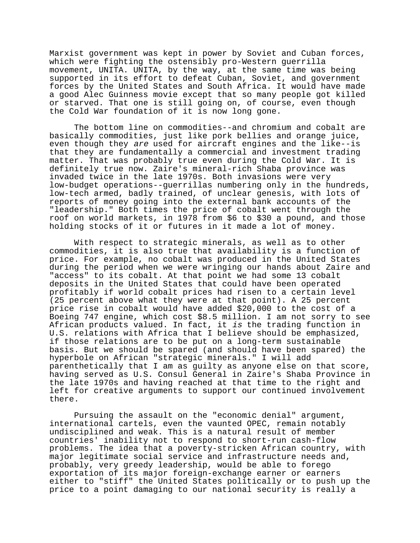Marxist government was kept in power by Soviet and Cuban forces, which were fighting the ostensibly pro-Western guerrilla movement, UNITA. UNITA, by the way, at the same time was being supported in its effort to defeat Cuban, Soviet, and government forces by the United States and South Africa. It would have made a good Alec Guinness movie except that so many people got killed or starved. That one is still going on, of course, even though the Cold War foundation of it is now long gone.

The bottom line on commodities--and chromium and cobalt are basically commodities, just like pork bellies and orange juice, even though they are used for aircraft engines and the like--is that they are fundamentally a commercial and investment trading matter. That was probably true even during the Cold War. It is definitely true now. Zaire's mineral-rich Shaba province was invaded twice in the late 1970s. Both invasions were very low-budget operations--guerrillas numbering only in the hundreds, low-tech armed, badly trained, of unclear genesis, with lots of reports of money going into the external bank accounts of the "leadership." Both times the price of cobalt went through the roof on world markets, in 1978 from \$6 to \$30 a pound, and those holding stocks of it or futures in it made a lot of money.

With respect to strategic minerals, as well as to other commodities, it is also true that availability is a function of price. For example, no cobalt was produced in the United States during the period when we were wringing our hands about Zaire and "access" to its cobalt. At that point we had some 13 cobalt deposits in the United States that could have been operated profitably if world cobalt prices had risen to a certain level (25 percent above what they were at that point). A 25 percent price rise in cobalt would have added \$20,000 to the cost of a Boeing 747 engine, which cost \$8.5 million. I am not sorry to see African products valued. In fact, it is the trading function in U.S. relations with Africa that I believe should be emphasized, if those relations are to be put on a long-term sustainable basis. But we should be spared (and should have been spared) the hyperbole on African "strategic minerals." I will add parenthetically that I am as guilty as anyone else on that score, having served as U.S. Consul General in Zaire's Shaba Province in the late 1970s and having reached at that time to the right and left for creative arguments to support our continued involvement there.

Pursuing the assault on the "economic denial" argument, international cartels, even the vaunted OPEC, remain notably undisciplined and weak. This is a natural result of member countries' inability not to respond to short-run cash-flow problems. The idea that a poverty-stricken African country, with major legitimate social service and infrastructure needs and, probably, very greedy leadership, would be able to forego exportation of its major foreign-exchange earner or earners either to "stiff" the United States politically or to push up the price to a point damaging to our national security is really a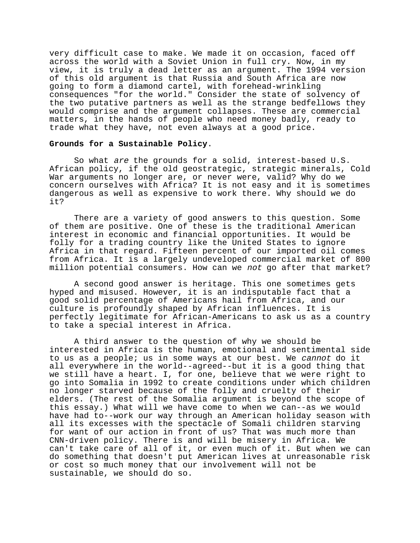very difficult case to make. We made it on occasion, faced off across the world with a Soviet Union in full cry. Now, in my view, it is truly a dead letter as an argument. The 1994 version of this old argument is that Russia and South Africa are now going to form a diamond cartel, with forehead-wrinkling consequences "for the world." Consider the state of solvency of the two putative partners as well as the strange bedfellows they would comprise and the argument collapses. These are commercial matters, in the hands of people who need money badly, ready to trade what they have, not even always at a good price.

### **Grounds for a Sustainable Policy**.

So what are the grounds for a solid, interest-based U.S. African policy, if the old geostrategic, strategic minerals, Cold War arguments no longer are, or never were, valid? Why do we concern ourselves with Africa? It is not easy and it is sometimes dangerous as well as expensive to work there. Why should we do it?

There are a variety of good answers to this question. Some of them are positive. One of these is the traditional American interest in economic and financial opportunities. It would be folly for a trading country like the United States to ignore Africa in that regard. Fifteen percent of our imported oil comes from Africa. It is a largely undeveloped commercial market of 800 million potential consumers. How can we not go after that market?

A second good answer is heritage. This one sometimes gets hyped and misused. However, it is an indisputable fact that a good solid percentage of Americans hail from Africa, and our culture is profoundly shaped by African influences. It is perfectly legitimate for African-Americans to ask us as a country to take a special interest in Africa.

A third answer to the question of why we should be interested in Africa is the human, emotional and sentimental side to us as a people; us in some ways at our best. We cannot do it all everywhere in the world--agreed--but it is a good thing that we still have a heart. I, for one, believe that we were right to go into Somalia in 1992 to create conditions under which children no longer starved because of the folly and cruelty of their elders. (The rest of the Somalia argument is beyond the scope of this essay.) What will we have come to when we can--as we would have had to--work our way through an American holiday season with all its excesses with the spectacle of Somali children starving for want of our action in front of us? That was much more than CNN-driven policy. There is and will be misery in Africa. We can't take care of all of it, or even much of it. But when we can do something that doesn't put American lives at unreasonable risk or cost so much money that our involvement will not be sustainable, we should do so.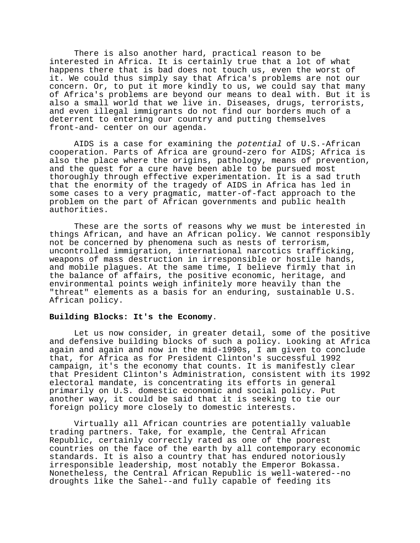There is also another hard, practical reason to be interested in Africa. It is certainly true that a lot of what happens there that is bad does not touch us, even the worst of it. We could thus simply say that Africa's problems are not our concern. Or, to put it more kindly to us, we could say that many of Africa's problems are beyond our means to deal with. But it is also a small world that we live in. Diseases, drugs, terrorists, and even illegal immigrants do not find our borders much of a deterrent to entering our country and putting themselves front-and- center on our agenda.

AIDS is a case for examining the potential of U.S.-African cooperation. Parts of Africa are ground-zero for AIDS; Africa is also the place where the origins, pathology, means of prevention, and the quest for a cure have been able to be pursued most thoroughly through effective experimentation. It is a sad truth that the enormity of the tragedy of AIDS in Africa has led in some cases to a very pragmatic, matter-of-fact approach to the problem on the part of African governments and public health authorities.

These are the sorts of reasons why we must be interested in things African, and have an African policy. We cannot responsibly not be concerned by phenomena such as nests of terrorism, uncontrolled immigration, international narcotics trafficking, weapons of mass destruction in irresponsible or hostile hands, and mobile plagues. At the same time, I believe firmly that in the balance of affairs, the positive economic, heritage, and environmental points weigh infinitely more heavily than the "threat" elements as a basis for an enduring, sustainable U.S. African policy.

### **Building Blocks: It's the Economy**.

Let us now consider, in greater detail, some of the positive and defensive building blocks of such a policy. Looking at Africa again and again and now in the mid-1990s, I am given to conclude that, for Africa as for President Clinton's successful 1992 campaign, it's the economy that counts. It is manifestly clear that President Clinton's Administration, consistent with its 1992 electoral mandate, is concentrating its efforts in general primarily on U.S. domestic economic and social policy. Put another way, it could be said that it is seeking to tie our foreign policy more closely to domestic interests.

Virtually all African countries are potentially valuable trading partners. Take, for example, the Central African Republic, certainly correctly rated as one of the poorest countries on the face of the earth by all contemporary economic standards. It is also a country that has endured notoriously irresponsible leadership, most notably the Emperor Bokassa. Nonetheless, the Central African Republic is well-watered--no droughts like the Sahel--and fully capable of feeding its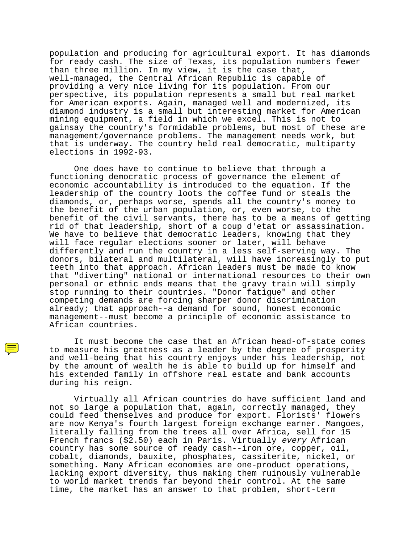population and producing for agricultural export. It has diamonds for ready cash. The size of Texas, its population numbers fewer than three million. In my view, it is the case that, well-managed, the Central African Republic is capable of providing a very nice living for its population. From our perspective, its population represents a small but real market for American exports. Again, managed well and modernized, its diamond industry is a small but interesting market for American mining equipment, a field in which we excel. This is not to gainsay the country's formidable problems, but most of these are management/governance problems. The management needs work, but that is underway. The country held real democratic, multiparty elections in 1992-93.

One does have to continue to believe that through a functioning democratic process of governance the element of economic accountability is introduced to the equation. If the leadership of the country loots the coffee fund or steals the diamonds, or, perhaps worse, spends all the country's money to the benefit of the urban population, or, even worse, to the benefit of the civil servants, there has to be a means of getting rid of that leadership, short of a coup d'etat or assassination. We have to believe that democratic leaders, knowing that they will face regular elections sooner or later, will behave differently and run the country in a less self-serving way. The donors, bilateral and multilateral, will have increasingly to put teeth into that approach. African leaders must be made to know that "diverting" national or international resources to their own personal or ethnic ends means that the gravy train will simply stop running to their countries. "Donor fatigue" and other competing demands are forcing sharper donor discrimination already; that approach--a demand for sound, honest economic management--must become a principle of economic assistance to African countries.

It must become the case that an African head-of-state comes to measure his greatness as a leader by the degree of prosperity and well-being that his country enjoys under his leadership, not by the amount of wealth he is able to build up for himself and his extended family in offshore real estate and bank accounts during his reign.

Virtually all African countries do have sufficient land and not so large a population that, again, correctly managed, they could feed themselves and produce for export. Florists' flowers are now Kenya's fourth largest foreign exchange earner. Mangoes, literally falling from the trees all over Africa, sell for 15 French francs (\$2.50) each in Paris. Virtually every African country has some source of ready cash--iron ore, copper, oil, cobalt, diamonds, bauxite, phosphates, cassiterite, nickel, or something. Many African economies are one-product operations, lacking export diversity, thus making them ruinously vulnerable to world market trends far beyond their control. At the same time, the market has an answer to that problem, short-term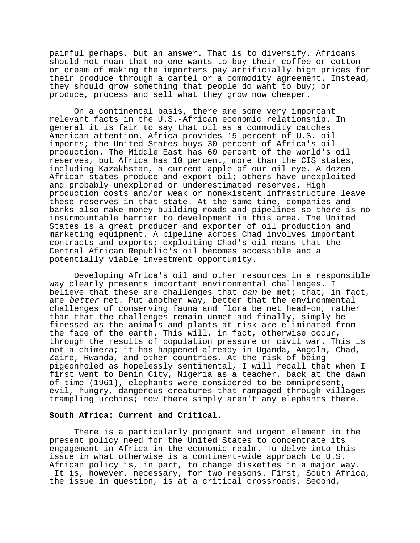painful perhaps, but an answer. That is to diversify. Africans should not moan that no one wants to buy their coffee or cotton or dream of making the importers pay artificially high prices for their produce through a cartel or a commodity agreement. Instead, they should grow something that people do want to buy; or produce, process and sell what they grow now cheaper.

On a continental basis, there are some very important relevant facts in the U.S.-African economic relationship. In general it is fair to say that oil as a commodity catches American attention. Africa provides 15 percent of U.S. oil imports; the United States buys 30 percent of Africa's oil production. The Middle East has 60 percent of the world's oil reserves, but Africa has 10 percent, more than the CIS states, including Kazakhstan, a current apple of our oil eye. A dozen African states produce and export oil; others have unexploited and probably unexplored or underestimated reserves. High production costs and/or weak or nonexistent infrastructure leave these reserves in that state. At the same time, companies and banks also make money building roads and pipelines so there is no insurmountable barrier to development in this area. The United States is a great producer and exporter of oil production and marketing equipment. A pipeline across Chad involves important contracts and exports; exploiting Chad's oil means that the Central African Republic's oil becomes accessible and a potentially viable investment opportunity.

Developing Africa's oil and other resources in a responsible way clearly presents important environmental challenges. I believe that these are challenges that can be met; that, in fact, are better met. Put another way, better that the environmental challenges of conserving fauna and flora be met head-on, rather than that the challenges remain unmet and finally, simply be finessed as the animals and plants at risk are eliminated from the face of the earth. This will, in fact, otherwise occur, through the results of population pressure or civil war. This is not a chimera; it has happened already in Uganda, Angola, Chad, Zaire, Rwanda, and other countries. At the risk of being pigeonholed as hopelessly sentimental, I will recall that when I first went to Benin City, Nigeria as a teacher, back at the dawn of time (1961), elephants were considered to be omnipresent, evil, hungry, dangerous creatures that rampaged through villages trampling urchins; now there simply aren't any elephants there.

### **South Africa: Current and Critical**.

There is a particularly poignant and urgent element in the present policy need for the United States to concentrate its engagement in Africa in the economic realm. To delve into this issue in what otherwise is a continent-wide approach to U.S. African policy is, in part, to change diskettes in a major way. It is, however, necessary, for two reasons. First, South Africa, the issue in question, is at a critical crossroads. Second,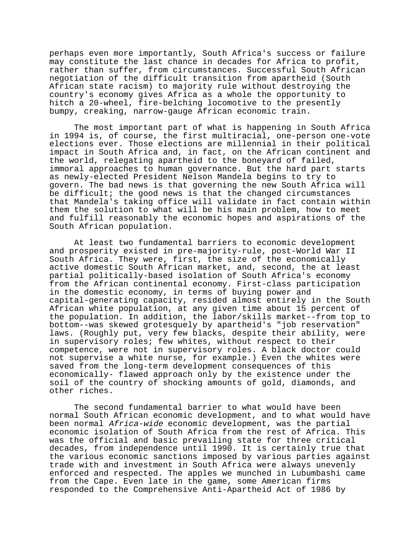perhaps even more importantly, South Africa's success or failure may constitute the last chance in decades for Africa to profit, rather than suffer, from circumstances. Successful South African negotiation of the difficult transition from apartheid (South African state racism) to majority rule without destroying the country's economy gives Africa as a whole the opportunity to hitch a 20-wheel, fire-belching locomotive to the presently bumpy, creaking, narrow-gauge African economic train.

The most important part of what is happening in South Africa in 1994 is, of course, the first multiracial, one-person one-vote elections ever. Those elections are millennial in their political impact in South Africa and, in fact, on the African continent and the world, relegating apartheid to the boneyard of failed, immoral approaches to human governance. But the hard part starts as newly-elected President Nelson Mandela begins to try to govern. The bad news is that governing the new South Africa will be difficult; the good news is that the changed circumstances that Mandela's taking office will validate in fact contain within them the solution to what will be his main problem, how to meet and fulfill reasonably the economic hopes and aspirations of the South African population.

At least two fundamental barriers to economic development and prosperity existed in pre-majority-rule, post-World War II South Africa. They were, first, the size of the economically active domestic South African market, and, second, the at least partial politically-based isolation of South Africa's economy from the African continental economy. First-class participation in the domestic economy, in terms of buying power and capital-generating capacity, resided almost entirely in the South African white population, at any given time about 15 percent of the population. In addition, the labor/skills market--from top to bottom--was skewed grotesquely by apartheid's "job reservation" laws. (Roughly put, very few blacks, despite their ability, were in supervisory roles; few whites, without respect to their competence, were not in supervisory roles. A black doctor could not supervise a white nurse, for example.) Even the whites were saved from the long-term development consequences of this economically- flawed approach only by the existence under the soil of the country of shocking amounts of gold, diamonds, and other riches.

The second fundamental barrier to what would have been normal South African economic development, and to what would have been normal Africa-wide economic development, was the partial economic isolation of South Africa from the rest of Africa. This was the official and basic prevailing state for three critical decades, from independence until 1990. It is certainly true that the various economic sanctions imposed by various parties against trade with and investment in South Africa were always unevenly enforced and respected. The apples we munched in Lubumbashi came from the Cape. Even late in the game, some American firms responded to the Comprehensive Anti-Apartheid Act of 1986 by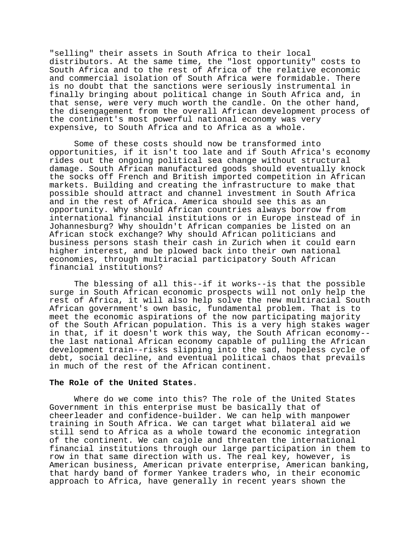"selling" their assets in South Africa to their local distributors. At the same time, the "lost opportunity" costs to South Africa and to the rest of Africa of the relative economic and commercial isolation of South Africa were formidable. There is no doubt that the sanctions were seriously instrumental in finally bringing about political change in South Africa and, in that sense, were very much worth the candle. On the other hand, the disengagement from the overall African development process of the continent's most powerful national economy was very expensive, to South Africa and to Africa as a whole.

Some of these costs should now be transformed into opportunities, if it isn't too late and if South Africa's economy rides out the ongoing political sea change without structural damage. South African manufactured goods should eventually knock the socks off French and British imported competition in African markets. Building and creating the infrastructure to make that possible should attract and channel investment in South Africa and in the rest of Africa. America should see this as an opportunity. Why should African countries always borrow from international financial institutions or in Europe instead of in Johannesburg? Why shouldn't African companies be listed on an African stock exchange? Why should African politicians and business persons stash their cash in Zurich when it could earn higher interest, and be plowed back into their own national economies, through multiracial participatory South African financial institutions?

The blessing of all this--if it works--is that the possible surge in South African economic prospects will not only help the rest of Africa, it will also help solve the new multiracial South African government's own basic, fundamental problem. That is to meet the economic aspirations of the now participating majority of the South African population. This is a very high stakes wager in that, if it doesn't work this way, the South African economy- the last national African economy capable of pulling the African development train--risks slipping into the sad, hopeless cycle of debt, social decline, and eventual political chaos that prevails in much of the rest of the African continent.

### **The Role of the United States**.

Where do we come into this? The role of the United States Government in this enterprise must be basically that of cheerleader and confidence-builder. We can help with manpower training in South Africa. We can target what bilateral aid we still send to Africa as a whole toward the economic integration of the continent. We can cajole and threaten the international financial institutions through our large participation in them to row in that same direction with us. The real key, however, is American business, American private enterprise, American banking, that hardy band of former Yankee traders who, in their economic approach to Africa, have generally in recent years shown the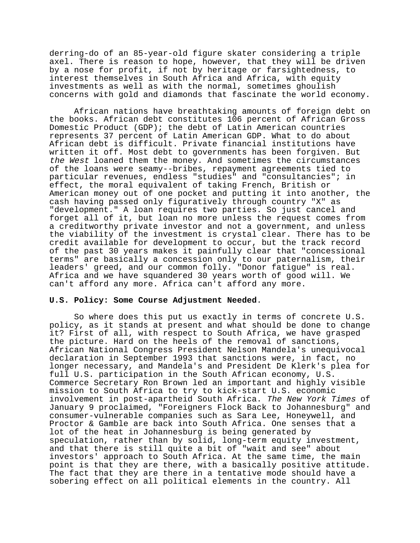derring-do of an 85-year-old figure skater considering a triple axel. There is reason to hope, however, that they will be driven by a nose for profit, if not by heritage or farsightedness, to interest themselves in South Africa and Africa, with equity investments as well as with the normal, sometimes ghoulish concerns with gold and diamonds that fascinate the world economy.

African nations have breathtaking amounts of foreign debt on the books. African debt constitutes 106 percent of African Gross Domestic Product (GDP); the debt of Latin American countries represents 37 percent of Latin American GDP. What to do about African debt is difficult. Private financial institutions have written it off. Most debt to governments has been forgiven. But the West loaned them the money. And sometimes the circumstances of the loans were seamy--bribes, repayment agreements tied to particular revenues, endless "studies" and "consultancies"; in effect, the moral equivalent of taking French, British or American money out of one pocket and putting it into another, the cash having passed only figuratively through country "X" as "development." A loan requires two parties. So just cancel and forget all of it, but loan no more unless the request comes from a creditworthy private investor and not a government, and unless the viability of the investment is crystal clear. There has to be credit available for development to occur, but the track record of the past 30 years makes it painfully clear that "concessional terms" are basically a concession only to our paternalism, their leaders' greed, and our common folly. "Donor fatigue" is real. Africa and we have squandered 30 years worth of good will. We can't afford any more. Africa can't afford any more.

### **U.S. Policy: Some Course Adjustment Needed**.

So where does this put us exactly in terms of concrete U.S. policy, as it stands at present and what should be done to change it? First of all, with respect to South Africa, we have grasped the picture. Hard on the heels of the removal of sanctions, African National Congress President Nelson Mandela's unequivocal declaration in September 1993 that sanctions were, in fact, no longer necessary, and Mandela's and President De Klerk's plea for full U.S. participation in the South African economy, U.S. Commerce Secretary Ron Brown led an important and highly visible mission to South Africa to try to kick-start U.S. economic involvement in post-apartheid South Africa. The New York Times of January 9 proclaimed, "Foreigners Flock Back to Johannesburg" and consumer-vulnerable companies such as Sara Lee, Honeywell, and Proctor & Gamble are back into South Africa. One senses that a lot of the heat in Johannesburg is being generated by speculation, rather than by solid, long-term equity investment, and that there is still quite a bit of "wait and see" about investors' approach to South Africa. At the same time, the main point is that they are there, with a basically positive attitude. The fact that they are there in a tentative mode should have a sobering effect on all political elements in the country. All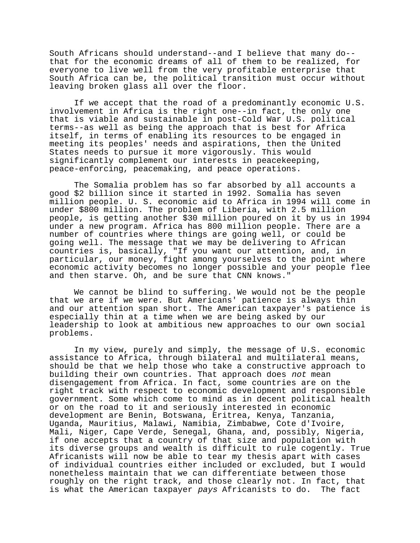South Africans should understand--and I believe that many do- that for the economic dreams of all of them to be realized, for everyone to live well from the very profitable enterprise that South Africa can be, the political transition must occur without leaving broken glass all over the floor.

If we accept that the road of a predominantly economic U.S. involvement in Africa is the right one--in fact, the only one that is viable and sustainable in post-Cold War U.S. political terms--as well as being the approach that is best for Africa itself, in terms of enabling its resources to be engaged in meeting its peoples' needs and aspirations, then the United States needs to pursue it more vigorously. This would significantly complement our interests in peacekeeping, peace-enforcing, peacemaking, and peace operations.

The Somalia problem has so far absorbed by all accounts a good \$2 billion since it started in 1992. Somalia has seven million people. U. S. economic aid to Africa in 1994 will come in under \$800 million. The problem of Liberia, with 2.5 million people, is getting another \$30 million poured on it by us in 1994 under a new program. Africa has 800 million people. There are a number of countries where things are going well, or could be going well. The message that we may be delivering to African countries is, basically, "If you want our attention, and, in particular, our money, fight among yourselves to the point where economic activity becomes no longer possible and your people flee and then starve. Oh, and be sure that CNN knows."

We cannot be blind to suffering. We would not be the people that we are if we were. But Americans' patience is always thin and our attention span short. The American taxpayer's patience is especially thin at a time when we are being asked by our leadership to look at ambitious new approaches to our own social problems.

In my view, purely and simply, the message of U.S. economic assistance to Africa, through bilateral and multilateral means, should be that we help those who take a constructive approach to building their own countries. That approach does not mean disengagement from Africa. In fact, some countries are on the right track with respect to economic development and responsible government. Some which come to mind as in decent political health or on the road to it and seriously interested in economic development are Benin, Botswana, Eritrea, Kenya, Tanzania, Uganda, Mauritius, Malawi, Namibia, Zimbabwe, Cote d'Ivoire, Mali, Niger, Cape Verde, Senegal, Ghana, and, possibly, Nigeria, if one accepts that a country of that size and population with its diverse groups and wealth is difficult to rule cogently. True Africanists will now be able to tear my thesis apart with cases of individual countries either included or excluded, but I would nonetheless maintain that we can differentiate between those roughly on the right track, and those clearly not. In fact, that is what the American taxpayer pays Africanists to do. The fact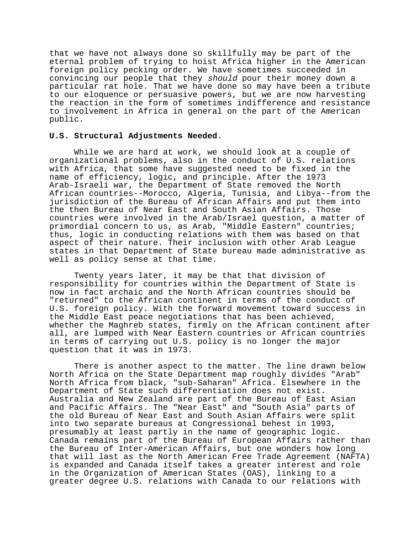that we have not always done so skillfully may be part of the eternal problem of trying to hoist Africa higher in the American foreign policy pecking order. We have sometimes succeeded in convincing our people that they should pour their money down a particular rat hole. That we have done so may have been a tribute to our eloquence or persuasive powers, but we are now harvesting the reaction in the form of sometimes indifference and resistance to involvement in Africa in general on the part of the American public.

### **U.S. Structural Adjustments Needed**.

While we are hard at work, we should look at a couple of organizational problems, also in the conduct of U.S. relations with Africa, that some have suggested need to be fixed in the name of efficiency, logic, and principle. After the 1973 Arab-Israeli war, the Department of State removed the North African countries--Morocco, Algeria, Tunisia, and Libya--from the jurisdiction of the Bureau of African Affairs and put them into the then Bureau of Near East and South Asian Affairs. Those countries were involved in the Arab/Israel question, a matter of primordial concern to us, as Arab, "Middle Eastern" countries; thus, logic in conducting relations with them was based on that aspect of their nature. Their inclusion with other Arab League states in that Department of State bureau made administrative as well as policy sense at that time.

Twenty years later, it may be that that division of responsibility for countries within the Department of State is now in fact archaic and the North African countries should be "returned" to the African continent in terms of the conduct of U.S. foreign policy. With the forward movement toward success in the Middle East peace negotiations that has been achieved, whether the Maghreb states, firmly on the African continent after all, are lumped with Near Eastern countries or African countries in terms of carrying out U.S. policy is no longer the major question that it was in 1973.

There is another aspect to the matter. The line drawn below North Africa on the State Department map roughly divides "Arab" North Africa from black, "sub-Saharan" Africa. Elsewhere in the Department of State such differentiation does not exist. Australia and New Zealand are part of the Bureau of East Asian and Pacific Affairs. The "Near East" and "South Asia" parts of the old Bureau of Near East and South Asian Affairs were split into two separate bureaus at Congressional behest in 1993, presumably at least partly in the name of geographic logic. Canada remains part of the Bureau of European Affairs rather than the Bureau of Inter-American Affairs, but one wonders how long that will last as the North American Free Trade Agreement (NAFTA) is expanded and Canada itself takes a greater interest and role in the Organization of American States (OAS), linking to a greater degree U.S. relations with Canada to our relations with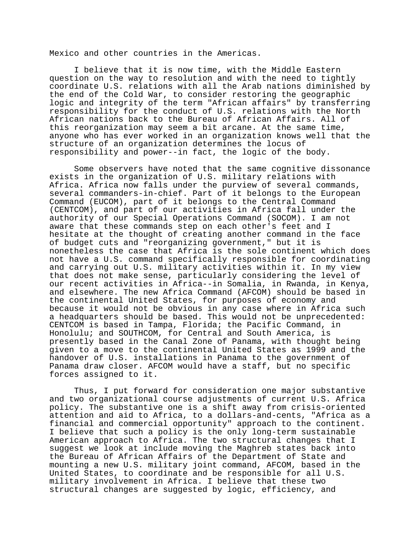Mexico and other countries in the Americas.

I believe that it is now time, with the Middle Eastern question on the way to resolution and with the need to tightly coordinate U.S. relations with all the Arab nations diminished by the end of the Cold War, to consider restoring the geographic logic and integrity of the term "African affairs" by transferring responsibility for the conduct of U.S. relations with the North African nations back to the Bureau of African Affairs. All of this reorganization may seem a bit arcane. At the same time, anyone who has ever worked in an organization knows well that the structure of an organization determines the locus of responsibility and power--in fact, the logic of the body.

Some observers have noted that the same cognitive dissonance exists in the organization of U.S. military relations with Africa. Africa now falls under the purview of several commands, several commanders-in-chief. Part of it belongs to the European Command (EUCOM), part of it belongs to the Central Command (CENTCOM), and part of our activities in Africa fall under the authority of our Special Operations Command (SOCOM). I am not aware that these commands step on each other's feet and I hesitate at the thought of creating another command in the face of budget cuts and "reorganizing government," but it is nonetheless the case that Africa is the sole continent which does not have a U.S. command specifically responsible for coordinating and carrying out U.S. military activities within it. In my view that does not make sense, particularly considering the level of our recent activities in Africa--in Somalia, in Rwanda, in Kenya, and elsewhere. The new Africa Command (AFCOM) should be based in the continental United States, for purposes of economy and because it would not be obvious in any case where in Africa such a headquarters should be based. This would not be unprecedented: CENTCOM is based in Tampa, Florida; the Pacific Command, in Honolulu; and SOUTHCOM, for Central and South America, is presently based in the Canal Zone of Panama, with thought being given to a move to the continental United States as 1999 and the handover of U.S. installations in Panama to the government of Panama draw closer. AFCOM would have a staff, but no specific forces assigned to it.

Thus, I put forward for consideration one major substantive and two organizational course adjustments of current U.S. Africa policy. The substantive one is a shift away from crisis-oriented attention and aid to Africa, to a dollars-and-cents, "Africa as a financial and commercial opportunity" approach to the continent. I believe that such a policy is the only long-term sustainable American approach to Africa. The two structural changes that I suggest we look at include moving the Maghreb states back into the Bureau of African Affairs of the Department of State and mounting a new U.S. military joint command, AFCOM, based in the United States, to coordinate and be responsible for all U.S. military involvement in Africa. I believe that these two structural changes are suggested by logic, efficiency, and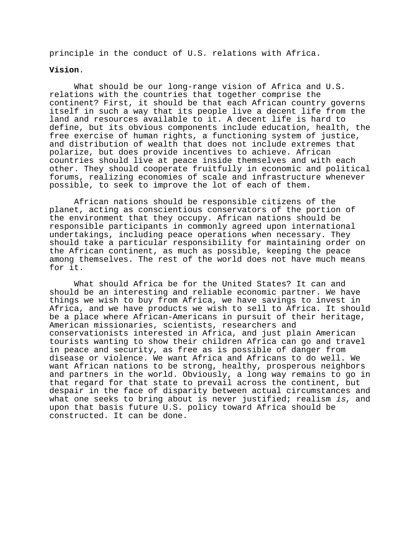principle in the conduct of U.S. relations with Africa.

#### **Vision**.

What should be our long-range vision of Africa and U.S. relations with the countries that together comprise the continent? First, it should be that each African country governs itself in such a way that its people live a decent life from the land and resources available to it. A decent life is hard to define, but its obvious components include education, health, the free exercise of human rights, a functioning system of justice, and distribution of wealth that does not include extremes that polarize, but does provide incentives to achieve. African countries should live at peace inside themselves and with each other. They should cooperate fruitfully in economic and political forums, realizing economies of scale and infrastructure whenever possible, to seek to improve the lot of each of them.

African nations should be responsible citizens of the planet, acting as conscientious conservators of the portion of the environment that they occupy. African nations should be responsible participants in commonly agreed upon international undertakings, including peace operations when necessary. They should take a particular responsibility for maintaining order on the African continent, as much as possible, keeping the peace among themselves. The rest of the world does not have much means for it.

What should Africa be for the United States? It can and should be an interesting and reliable economic partner. We have things we wish to buy from Africa, we have savings to invest in Africa, and we have products we wish to sell to Africa. It should be a place where African-Americans in pursuit of their heritage, American missionaries, scientists, researchers and conservationists interested in Africa, and just plain American tourists wanting to show their children Africa can go and travel in peace and security, as free as is possible of danger from disease or violence. We want Africa and Africans to do well. We want African nations to be strong, healthy, prosperous neighbors and partners in the world. Obviously, a long way remains to go in that regard for that state to prevail across the continent, but despair in the face of disparity between actual circumstances and what one seeks to bring about is never justified; realism is, and upon that basis future U.S. policy toward Africa should be constructed. It can be done.